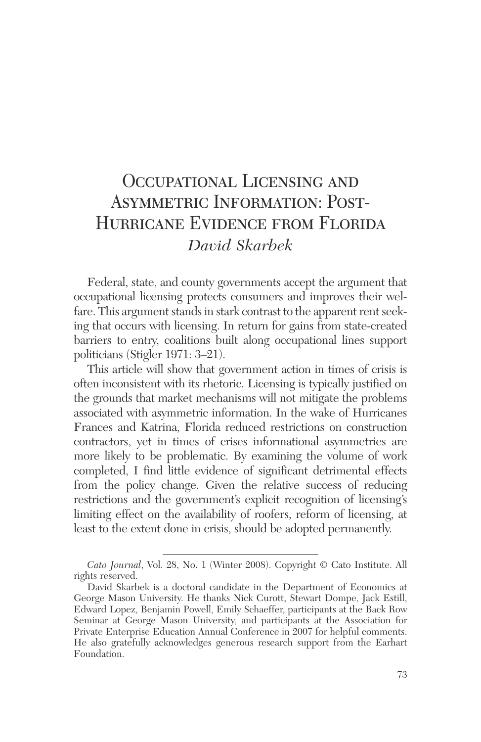# Occupational Licensing and Asymmetric Information: Post-Hurricane Evidence from Florida *David Skarbek*

Federal, state, and county governments accept the argument that occupational licensing protects consumers and improves their welfare. This argument stands in stark contrast to the apparent rent seeking that occurs with licensing. In return for gains from state-created barriers to entry, coalitions built along occupational lines support politicians (Stigler 1971: 3–21).

This article will show that government action in times of crisis is often inconsistent with its rhetoric. Licensing is typically justified on the grounds that market mechanisms will not mitigate the problems associated with asymmetric information. In the wake of Hurricanes Frances and Katrina, Florida reduced restrictions on construction contractors, yet in times of crises informational asymmetries are more likely to be problematic. By examining the volume of work completed, I find little evidence of significant detrimental effects from the policy change. Given the relative success of reducing restrictions and the government's explicit recognition of licensing's limiting effect on the availability of roofers, reform of licensing, at least to the extent done in crisis, should be adopted permanently.

*Cato Journal*, Vol. 28, No. 1 (Winter 2008). Copyright © Cato Institute. All rights reserved.

David Skarbek is a doctoral candidate in the Department of Economics at George Mason University. He thanks Nick Curott, Stewart Dompe, Jack Estill, Edward Lopez, Benjamin Powell, Emily Schaeffer, participants at the Back Row Seminar at George Mason University, and participants at the Association for Private Enterprise Education Annual Conference in 2007 for helpful comments. He also gratefully acknowledges generous research support from the Earhart Foundation.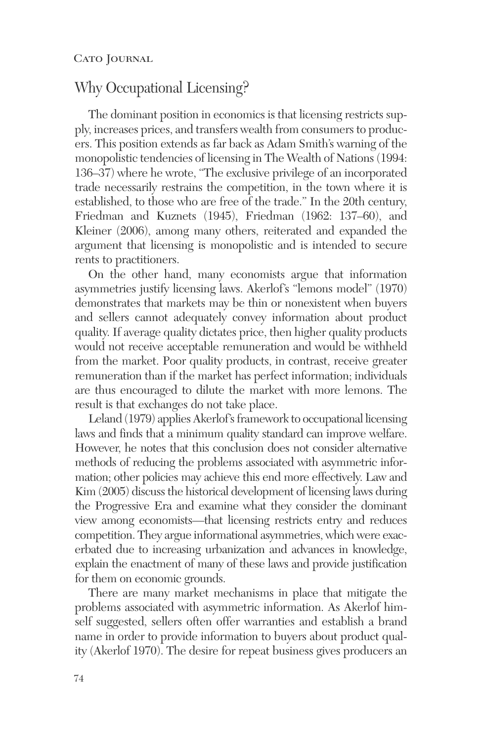### Why Occupational Licensing?

The dominant position in economics is that licensing restricts supply, increases prices, and transfers wealth from consumers to producers. This position extends as far back as Adam Smith's warning of the monopolistic tendencies of licensing in The Wealth of Nations (1994: 136–37) where he wrote, "The exclusive privilege of an incorporated trade necessarily restrains the competition, in the town where it is established, to those who are free of the trade." In the 20th century, Friedman and Kuznets (1945), Friedman (1962: 137–60), and Kleiner (2006), among many others, reiterated and expanded the argument that licensing is monopolistic and is intended to secure rents to practitioners.

On the other hand, many economists argue that information asymmetries justify licensing laws. Akerlof's "lemons model" (1970) demonstrates that markets may be thin or nonexistent when buyers and sellers cannot adequately convey information about product quality. If average quality dictates price, then higher quality products would not receive acceptable remuneration and would be withheld from the market. Poor quality products, in contrast, receive greater remuneration than if the market has perfect information; individuals are thus encouraged to dilute the market with more lemons. The result is that exchanges do not take place.

Leland (1979) applies Akerlof's framework to occupational licensing laws and finds that a minimum quality standard can improve welfare. However, he notes that this conclusion does not consider alternative methods of reducing the problems associated with asymmetric information; other policies may achieve this end more effectively. Law and Kim (2005) discuss the historical development of licensing laws during the Progressive Era and examine what they consider the dominant view among economists—that licensing restricts entry and reduces competition. They argue informational asymmetries, which were exacerbated due to increasing urbanization and advances in knowledge, explain the enactment of many of these laws and provide justification for them on economic grounds.

There are many market mechanisms in place that mitigate the problems associated with asymmetric information. As Akerlof himself suggested, sellers often offer warranties and establish a brand name in order to provide information to buyers about product quality (Akerlof 1970). The desire for repeat business gives producers an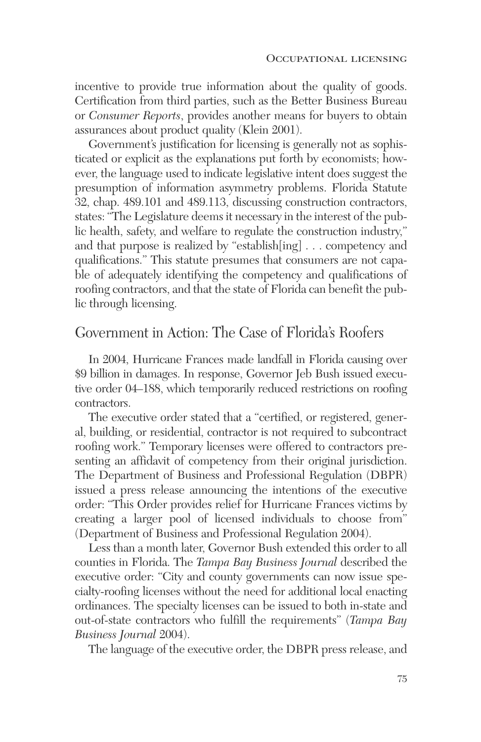incentive to provide true information about the quality of goods. Certification from third parties, such as the Better Business Bureau or *Consumer Reports*, provides another means for buyers to obtain assurances about product quality (Klein 2001).

Government's justification for licensing is generally not as sophisticated or explicit as the explanations put forth by economists; however, the language used to indicate legislative intent does suggest the presumption of information asymmetry problems. Florida Statute 32, chap. 489.101 and 489.113, discussing construction contractors, states: "The Legislature deems it necessary in the interest of the public health, safety, and welfare to regulate the construction industry," and that purpose is realized by "establish[ing] . . . competency and qualifications." This statute presumes that consumers are not capable of adequately identifying the competency and qualifications of roofing contractors, and that the state of Florida can benefit the public through licensing.

### Government in Action: The Case of Florida's Roofers

In 2004, Hurricane Frances made landfall in Florida causing over \$9 billion in damages. In response, Governor Jeb Bush issued executive order 04–188, which temporarily reduced restrictions on roofing contractors.

The executive order stated that a "certified, or registered, general, building, or residential, contractor is not required to subcontract roofing work." Temporary licenses were offered to contractors presenting an affidavit of competency from their original jurisdiction. The Department of Business and Professional Regulation (DBPR) issued a press release announcing the intentions of the executive order: "This Order provides relief for Hurricane Frances victims by creating a larger pool of licensed individuals to choose from" (Department of Business and Professional Regulation 2004).

Less than a month later, Governor Bush extended this order to all counties in Florida. The *Tampa Bay Business Journal* described the executive order: "City and county governments can now issue specialty-roofing licenses without the need for additional local enacting ordinances. The specialty licenses can be issued to both in-state and out-of-state contractors who fulfill the requirements" (*Tampa Bay Business Journal* 2004).

The language of the executive order, the DBPR press release, and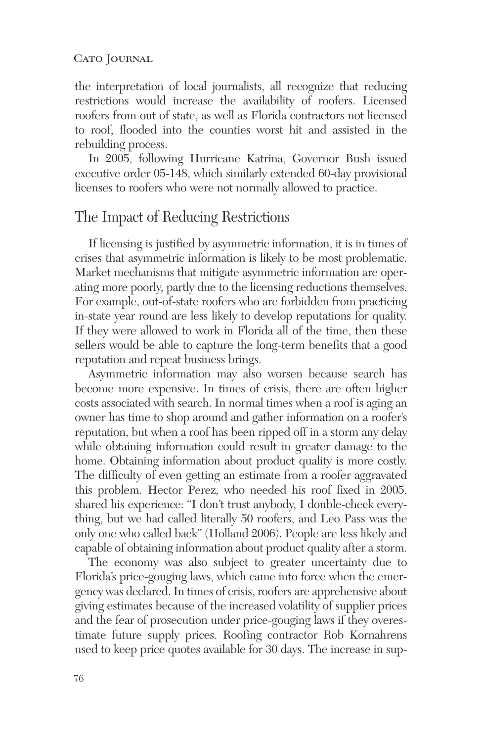#### CATO JOURNAL

the interpretation of local journalists, all recognize that reducing restrictions would increase the availability of roofers. Licensed roofers from out of state, as well as Florida contractors not licensed to roof, flooded into the counties worst hit and assisted in the rebuilding process.

In 2005, following Hurricane Katrina, Governor Bush issued executive order 05-148, which similarly extended 60-day provisional licenses to roofers who were not normally allowed to practice.

### The Impact of Reducing Restrictions

If licensing is justified by asymmetric information, it is in times of crises that asymmetric information is likely to be most problematic. Market mechanisms that mitigate asymmetric information are operating more poorly, partly due to the licensing reductions themselves. For example, out-of-state roofers who are forbidden from practicing in-state year round are less likely to develop reputations for quality. If they were allowed to work in Florida all of the time, then these sellers would be able to capture the long-term benefits that a good reputation and repeat business brings.

Asymmetric information may also worsen because search has become more expensive. In times of crisis, there are often higher costs associated with search. In normal times when a roof is aging an owner has time to shop around and gather information on a roofer's reputation, but when a roof has been ripped off in a storm any delay while obtaining information could result in greater damage to the home. Obtaining information about product quality is more costly. The difficulty of even getting an estimate from a roofer aggravated this problem. Hector Perez, who needed his roof fixed in 2005, shared his experience: "I don't trust anybody, I double-check everything, but we had called literally 50 roofers, and Leo Pass was the only one who called back" (Holland 2006). People are less likely and capable of obtaining information about product quality after a storm.

The economy was also subject to greater uncertainty due to Florida's price-gouging laws, which came into force when the emergency was declared. In times of crisis, roofers are apprehensive about giving estimates because of the increased volatility of supplier prices and the fear of prosecution under price-gouging laws if they overestimate future supply prices. Roofing contractor Rob Kornahrens used to keep price quotes available for 30 days. The increase in sup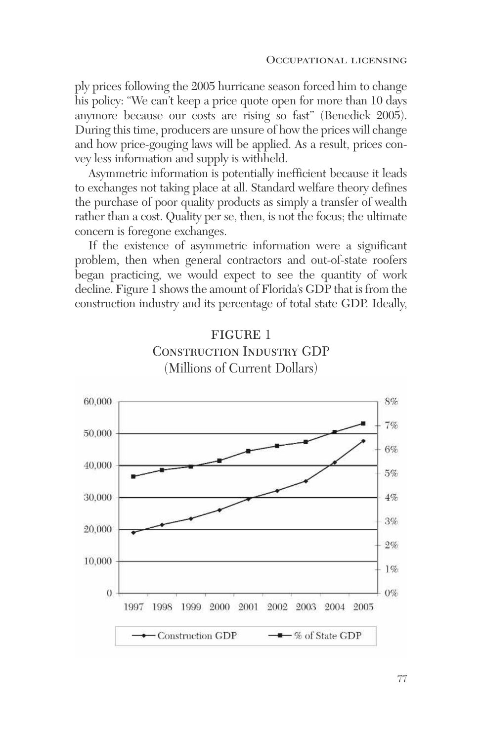ply prices following the 2005 hurricane season forced him to change his policy: "We can't keep a price quote open for more than 10 days anymore because our costs are rising so fast" (Benedick 2005). During this time, producers are unsure of how the prices will change and how price-gouging laws will be applied. As a result, prices convey less information and supply is withheld.

Asymmetric information is potentially inefficient because it leads to exchanges not taking place at all. Standard welfare theory defines the purchase of poor quality products as simply a transfer of wealth rather than a cost. Quality per se, then, is not the focus; the ultimate concern is foregone exchanges.

If the existence of asymmetric information were a significant problem, then when general contractors and out-of-state roofers began practicing, we would expect to see the quantity of work decline. Figure 1 shows the amount of Florida's GDP that is from the construction industry and its percentage of total state GDP. Ideally,



## **FIGURE 1** Construction Industry GDP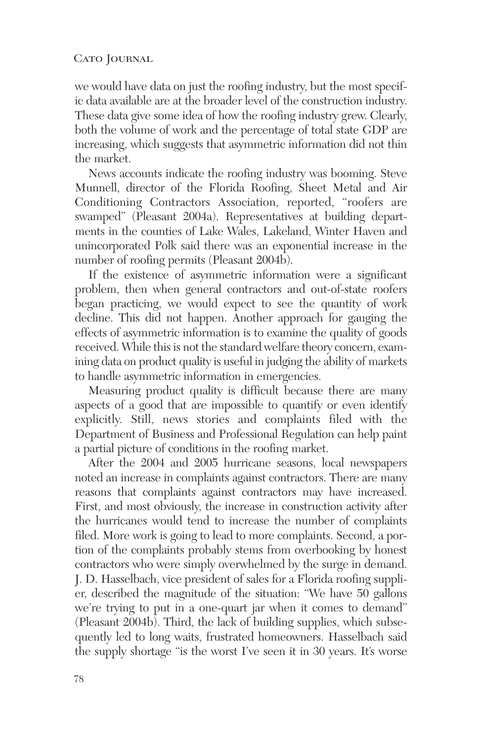we would have data on just the roofing industry, but the most specific data available are at the broader level of the construction industry. These data give some idea of how the roofing industry grew. Clearly, both the volume of work and the percentage of total state GDP are increasing, which suggests that asymmetric information did not thin the market.

News accounts indicate the roofing industry was booming. Steve Munnell, director of the Florida Roofing, Sheet Metal and Air Conditioning Contractors Association, reported, "roofers are swamped" (Pleasant 2004a). Representatives at building departments in the counties of Lake Wales, Lakeland, Winter Haven and unincorporated Polk said there was an exponential increase in the number of roofing permits (Pleasant 2004b).

If the existence of asymmetric information were a significant problem, then when general contractors and out-of-state roofers began practicing, we would expect to see the quantity of work decline. This did not happen. Another approach for gauging the effects of asymmetric information is to examine the quality of goods received. While this is not the standard welfare theory concern, examining data on product quality is useful in judging the ability of markets to handle asymmetric information in emergencies.

Measuring product quality is difficult because there are many aspects of a good that are impossible to quantify or even identify explicitly. Still, news stories and complaints filed with the Department of Business and Professional Regulation can help paint a partial picture of conditions in the roofing market.

After the 2004 and 2005 hurricane seasons, local newspapers noted an increase in complaints against contractors. There are many reasons that complaints against contractors may have increased. First, and most obviously, the increase in construction activity after the hurricanes would tend to increase the number of complaints filed. More work is going to lead to more complaints. Second, a portion of the complaints probably stems from overbooking by honest contractors who were simply overwhelmed by the surge in demand. J. D. Hasselbach, vice president of sales for a Florida roofing supplier, described the magnitude of the situation: "We have 50 gallons we're trying to put in a one-quart jar when it comes to demand" (Pleasant 2004b). Third, the lack of building supplies, which subsequently led to long waits, frustrated homeowners. Hasselbach said the supply shortage "is the worst I've seen it in 30 years. It's worse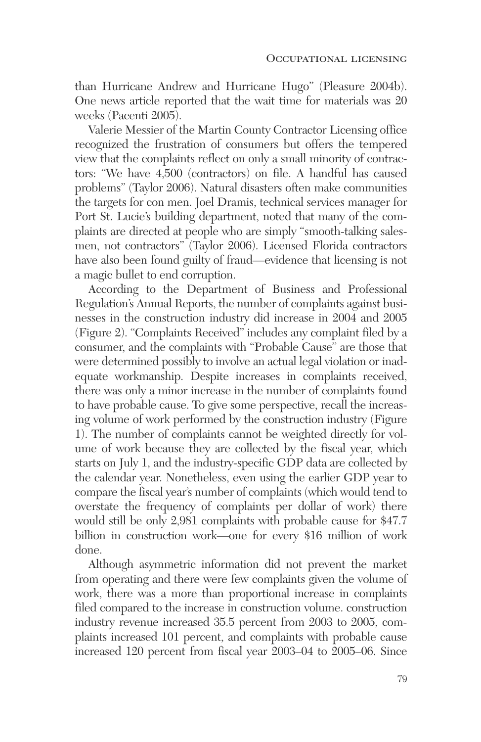than Hurricane Andrew and Hurricane Hugo" (Pleasure 2004b). One news article reported that the wait time for materials was 20 weeks (Pacenti 2005).

Valerie Messier of the Martin County Contractor Licensing office recognized the frustration of consumers but offers the tempered view that the complaints reflect on only a small minority of contractors: "We have 4,500 (contractors) on file. A handful has caused problems" (Taylor 2006). Natural disasters often make communities the targets for con men. Joel Dramis, technical services manager for Port St. Lucie's building department, noted that many of the complaints are directed at people who are simply "smooth-talking salesmen, not contractors" (Taylor 2006). Licensed Florida contractors have also been found guilty of fraud—evidence that licensing is not a magic bullet to end corruption.

According to the Department of Business and Professional Regulation's Annual Reports, the number of complaints against businesses in the construction industry did increase in 2004 and 2005 (Figure 2). "Complaints Received" includes any complaint filed by a consumer, and the complaints with "Probable Cause" are those that were determined possibly to involve an actual legal violation or inadequate workmanship. Despite increases in complaints received, there was only a minor increase in the number of complaints found to have probable cause. To give some perspective, recall the increasing volume of work performed by the construction industry (Figure 1). The number of complaints cannot be weighted directly for volume of work because they are collected by the fiscal year, which starts on July 1, and the industry-specific GDP data are collected by the calendar year. Nonetheless, even using the earlier GDP year to compare the fiscal year's number of complaints (which would tend to overstate the frequency of complaints per dollar of work) there would still be only 2,981 complaints with probable cause for \$47.7 billion in construction work—one for every \$16 million of work done.

Although asymmetric information did not prevent the market from operating and there were few complaints given the volume of work, there was a more than proportional increase in complaints filed compared to the increase in construction volume. construction industry revenue increased 35.5 percent from 2003 to 2005, complaints increased 101 percent, and complaints with probable cause increased 120 percent from fiscal year 2003–04 to 2005–06. Since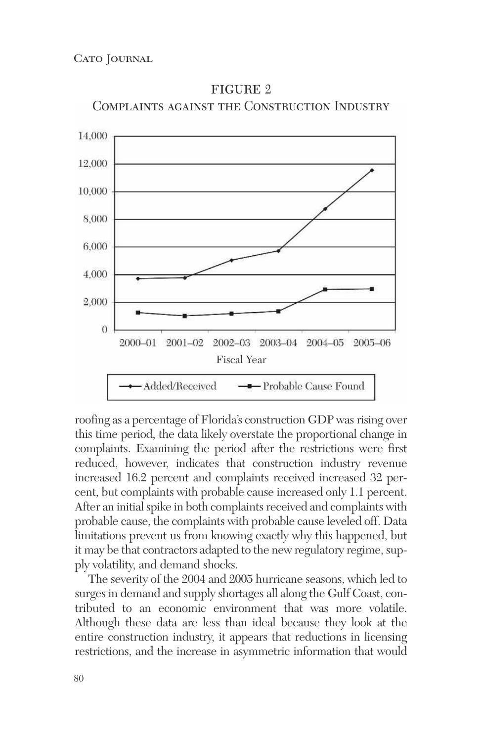

figure 2 Complaints against the Construction Industry

roofing as a percentage of Florida's construction GDP was rising over this time period, the data likely overstate the proportional change in complaints. Examining the period after the restrictions were first reduced, however, indicates that construction industry revenue increased 16.2 percent and complaints received increased 32 percent, but complaints with probable cause increased only 1.1 percent. After an initial spike in both complaints received and complaints with probable cause, the complaints with probable cause leveled off. Data limitations prevent us from knowing exactly why this happened, but it may be that contractors adapted to the new regulatory regime, supply volatility, and demand shocks.

The severity of the 2004 and 2005 hurricane seasons, which led to surges in demand and supply shortages all along the Gulf Coast, contributed to an economic environment that was more volatile. Although these data are less than ideal because they look at the entire construction industry, it appears that reductions in licensing restrictions, and the increase in asymmetric information that would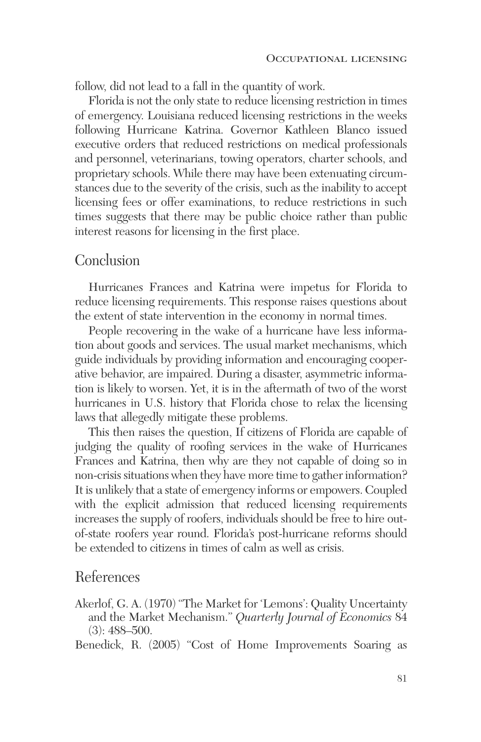follow, did not lead to a fall in the quantity of work.

Florida is not the only state to reduce licensing restriction in times of emergency. Louisiana reduced licensing restrictions in the weeks following Hurricane Katrina. Governor Kathleen Blanco issued executive orders that reduced restrictions on medical professionals and personnel, veterinarians, towing operators, charter schools, and proprietary schools. While there may have been extenuating circumstances due to the severity of the crisis, such as the inability to accept licensing fees or offer examinations, to reduce restrictions in such times suggests that there may be public choice rather than public interest reasons for licensing in the first place.

#### Conclusion

Hurricanes Frances and Katrina were impetus for Florida to reduce licensing requirements. This response raises questions about the extent of state intervention in the economy in normal times.

People recovering in the wake of a hurricane have less information about goods and services. The usual market mechanisms, which guide individuals by providing information and encouraging cooperative behavior, are impaired. During a disaster, asymmetric information is likely to worsen. Yet, it is in the aftermath of two of the worst hurricanes in U.S. history that Florida chose to relax the licensing laws that allegedly mitigate these problems.

This then raises the question, If citizens of Florida are capable of judging the quality of roofing services in the wake of Hurricanes Frances and Katrina, then why are they not capable of doing so in non-crisis situations when they have more time to gather information? It is unlikely that a state of emergency informs or empowers. Coupled with the explicit admission that reduced licensing requirements increases the supply of roofers, individuals should be free to hire outof-state roofers year round. Florida's post-hurricane reforms should be extended to citizens in times of calm as well as crisis.

### References

Akerlof, G. A. (1970) "The Market for 'Lemons': Quality Uncertainty and the Market Mechanism." *Quarterly Journal of Economics* 84 (3): 488–500.

Benedick, R. (2005) "Cost of Home Improvements Soaring as